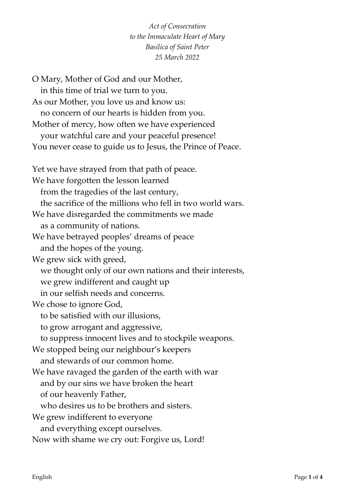## *Act of Consecration to the Immaculate Heart of Mary Basilica of Saint Peter 25 March 2022*

O Mary, Mother of God and our Mother, in this time of trial we turn to you. As our Mother, you love us and know us: no concern of our hearts is hidden from you. Mother of mercy, how often we have experienced your watchful care and your peaceful presence! You never cease to guide us to Jesus, the Prince of Peace. Yet we have strayed from that path of peace. We have forgotten the lesson learned from the tragedies of the last century, the sacrifice of the millions who fell in two world wars. We have disregarded the commitments we made as a community of nations. We have betrayed peoples' dreams of peace and the hopes of the young. We grew sick with greed, we thought only of our own nations and their interests, we grew indifferent and caught up in our selfish needs and concerns. We chose to ignore God, to be satisfied with our illusions, to grow arrogant and aggressive, to suppress innocent lives and to stockpile weapons. We stopped being our neighbour's keepers and stewards of our common home. We have ravaged the garden of the earth with war and by our sins we have broken the heart of our heavenly Father, who desires us to be brothers and sisters. We grew indifferent to everyone and everything except ourselves. Now with shame we cry out: Forgive us, Lord!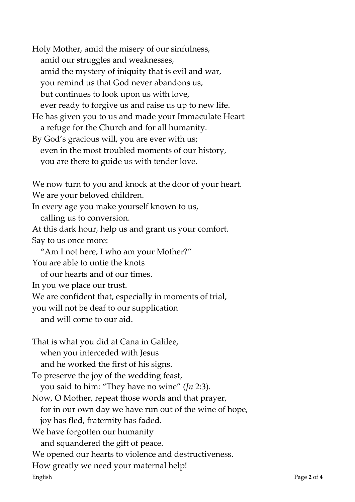English Page **2** of **4** Holy Mother, amid the misery of our sinfulness, amid our struggles and weaknesses, amid the mystery of iniquity that is evil and war, you remind us that God never abandons us, but continues to look upon us with love, ever ready to forgive us and raise us up to new life. He has given you to us and made your Immaculate Heart a refuge for the Church and for all humanity. By God's gracious will, you are ever with us; even in the most troubled moments of our history, you are there to guide us with tender love. We now turn to you and knock at the door of your heart. We are your beloved children. In every age you make yourself known to us, calling us to conversion. At this dark hour, help us and grant us your comfort. Say to us once more: "Am I not here, I who am your Mother?" You are able to untie the knots of our hearts and of our times. In you we place our trust. We are confident that, especially in moments of trial, you will not be deaf to our supplication and will come to our aid. That is what you did at Cana in Galilee, when you interceded with Jesus and he worked the first of his signs. To preserve the joy of the wedding feast, you said to him: "They have no wine" (*Jn* 2:3). Now, O Mother, repeat those words and that prayer, for in our own day we have run out of the wine of hope, joy has fled, fraternity has faded. We have forgotten our humanity and squandered the gift of peace. We opened our hearts to violence and destructiveness. How greatly we need your maternal help!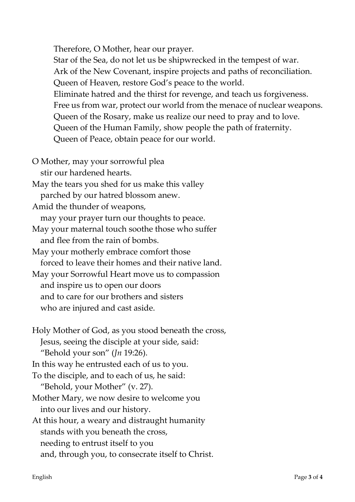Therefore, O Mother, hear our prayer.

Star of the Sea, do not let us be shipwrecked in the tempest of war. Ark of the New Covenant, inspire projects and paths of reconciliation. Queen of Heaven, restore God's peace to the world. Eliminate hatred and the thirst for revenge, and teach us forgiveness. Free us from war, protect our world from the menace of nuclear weapons. Queen of the Rosary, make us realize our need to pray and to love. Queen of the Human Family, show people the path of fraternity. Queen of Peace, obtain peace for our world.

- O Mother, may your sorrowful plea stir our hardened hearts. May the tears you shed for us make this valley parched by our hatred blossom anew. Amid the thunder of weapons, may your prayer turn our thoughts to peace. May your maternal touch soothe those who suffer and flee from the rain of bombs. May your motherly embrace comfort those forced to leave their homes and their native land. May your Sorrowful Heart move us to compassion and inspire us to open our doors and to care for our brothers and sisters who are injured and cast aside.
- Holy Mother of God, as you stood beneath the cross, Jesus, seeing the disciple at your side, said: "Behold your son" (*Jn* 19:26).

In this way he entrusted each of us to you.

To the disciple, and to each of us, he said:

"Behold, your Mother" (v. 27).

- Mother Mary, we now desire to welcome you into our lives and our history.
- At this hour, a weary and distraught humanity stands with you beneath the cross, needing to entrust itself to you and, through you, to consecrate itself to Christ.